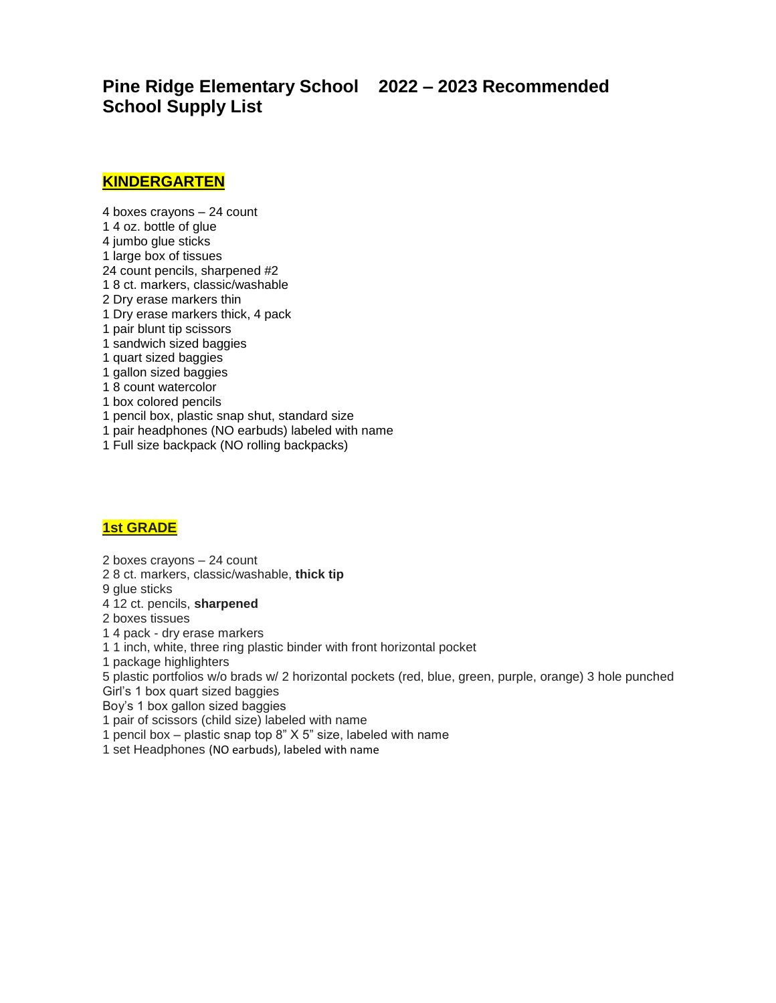**Pine Ridge Elementary School 2022 – 2023 Recommended School Supply List** 

#### **KINDERGARTEN**

- 4 boxes crayons 24 count
- 1 4 oz. bottle of glue
- 4 jumbo glue sticks
- 1 large box of tissues
- 24 count pencils, sharpened #2
- 1 8 ct. markers, classic/washable
- 2 Dry erase markers thin
- 1 Dry erase markers thick, 4 pack
- 1 pair blunt tip scissors
- 1 sandwich sized baggies
- 1 quart sized baggies
- 1 gallon sized baggies
- 1 8 count watercolor
- 1 box colored pencils
- 1 pencil box, plastic snap shut, standard size
- 1 pair headphones (NO earbuds) labeled with name
- 1 Full size backpack (NO rolling backpacks)

## **1st GRADE**

2 boxes crayons – 24 count 2 8 ct. markers, classic/washable, **thick tip** 9 glue sticks 4 12 ct. pencils, **sharpened** 2 boxes tissues 1 4 pack - dry erase markers 1 1 inch, white, three ring plastic binder with front horizontal pocket 1 package highlighters 5 plastic portfolios w/o brads w/ 2 horizontal pockets (red, blue, green, purple, orange) 3 hole punched Girl's 1 box quart sized baggies Boy's 1 box gallon sized baggies 1 pair of scissors (child size) labeled with name

- 1 pencil box plastic snap top 8" X 5" size, labeled with name
- 1 set Headphones (NO earbuds), labeled with name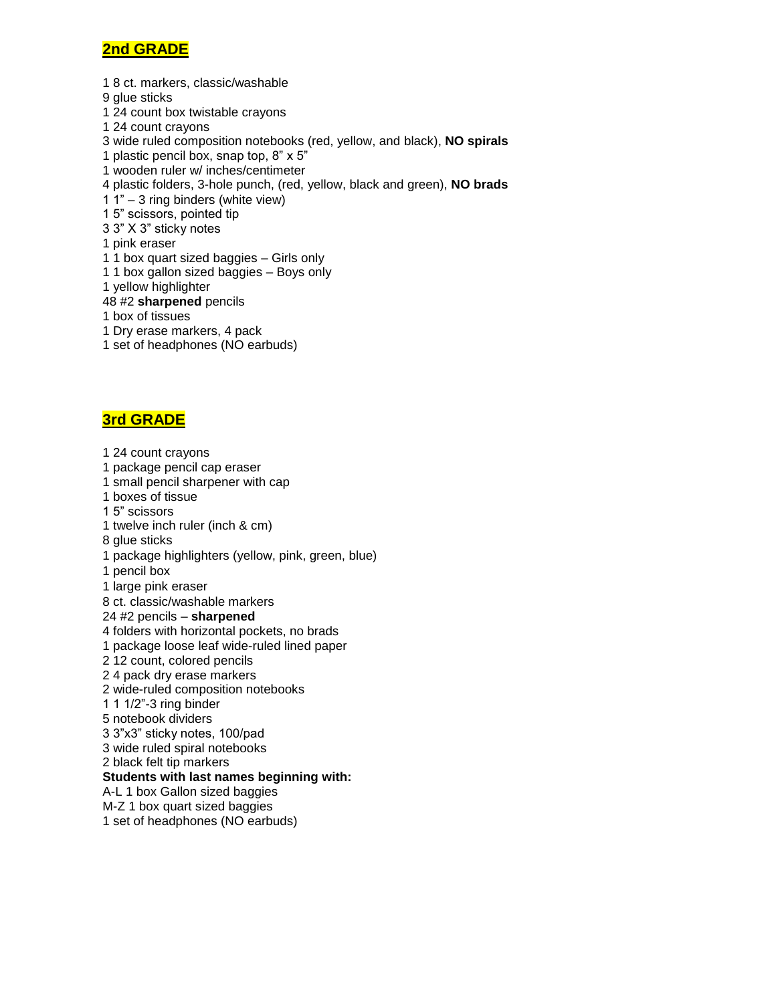## **2nd GRADE**

1 8 ct. markers, classic/washable

- 9 glue sticks
- 1 24 count box twistable crayons
- 1 24 count crayons
- 3 wide ruled composition notebooks (red, yellow, and black), **NO spirals**
- 1 plastic pencil box, snap top, 8" x 5"
- 1 wooden ruler w/ inches/centimeter
- 4 plastic folders, 3-hole punch, (red, yellow, black and green), **NO brads**
- 1 1" 3 ring binders (white view)
- 1 5" scissors, pointed tip
- 3 3" X 3" sticky notes
- 1 pink eraser
- 1 1 box quart sized baggies Girls only
- 1 1 box gallon sized baggies Boys only
- 1 yellow highlighter

48 #2 **sharpened** pencils

- 1 box of tissues
- 1 Dry erase markers, 4 pack
- 1 set of headphones (NO earbuds)

# **3rd GRADE**

1 24 count crayons 1 package pencil cap eraser 1 small pencil sharpener with cap 1 boxes of tissue 1 5" scissors 1 twelve inch ruler (inch & cm) 8 glue sticks 1 package highlighters (yellow, pink, green, blue) 1 pencil box 1 large pink eraser 8 ct. classic/washable markers 24 #2 pencils – **sharpened** 4 folders with horizontal pockets, no brads 1 package loose leaf wide-ruled lined paper 2 12 count, colored pencils 2 4 pack dry erase markers 2 wide-ruled composition notebooks 1 1 1/2"-3 ring binder 5 notebook dividers 3 3"x3" sticky notes, 100/pad 3 wide ruled spiral notebooks 2 black felt tip markers **Students with last names beginning with:**  A-L 1 box Gallon sized baggies M-Z 1 box quart sized baggies 1 set of headphones (NO earbuds)